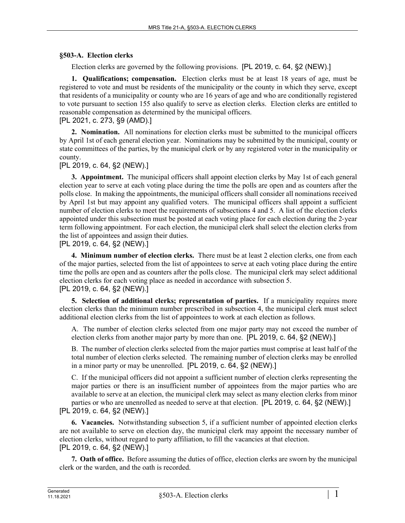## **§503-A. Election clerks**

Election clerks are governed by the following provisions. [PL 2019, c. 64, §2 (NEW).]

**1. Qualifications; compensation.** Election clerks must be at least 18 years of age, must be registered to vote and must be residents of the municipality or the county in which they serve, except that residents of a municipality or county who are 16 years of age and who are conditionally registered to vote pursuant to section 155 also qualify to serve as election clerks. Election clerks are entitled to reasonable compensation as determined by the municipal officers.

[PL 2021, c. 273, §9 (AMD).]

**2. Nomination.** All nominations for election clerks must be submitted to the municipal officers by April 1st of each general election year. Nominations may be submitted by the municipal, county or state committees of the parties, by the municipal clerk or by any registered voter in the municipality or county.

[PL 2019, c. 64, §2 (NEW).]

**3. Appointment.** The municipal officers shall appoint election clerks by May 1st of each general election year to serve at each voting place during the time the polls are open and as counters after the polls close. In making the appointments, the municipal officers shall consider all nominations received by April 1st but may appoint any qualified voters. The municipal officers shall appoint a sufficient number of election clerks to meet the requirements of subsections 4 and 5. A list of the election clerks appointed under this subsection must be posted at each voting place for each election during the 2‑year term following appointment. For each election, the municipal clerk shall select the election clerks from the list of appointees and assign their duties.

[PL 2019, c. 64, §2 (NEW).]

**4. Minimum number of election clerks.** There must be at least 2 election clerks, one from each of the major parties, selected from the list of appointees to serve at each voting place during the entire time the polls are open and as counters after the polls close. The municipal clerk may select additional election clerks for each voting place as needed in accordance with subsection 5. [PL 2019, c. 64, §2 (NEW).]

**5. Selection of additional clerks; representation of parties.** If a municipality requires more election clerks than the minimum number prescribed in subsection 4, the municipal clerk must select additional election clerks from the list of appointees to work at each election as follows.

A. The number of election clerks selected from one major party may not exceed the number of election clerks from another major party by more than one. [PL 2019, c. 64, §2 (NEW).]

B. The number of election clerks selected from the major parties must comprise at least half of the total number of election clerks selected. The remaining number of election clerks may be enrolled in a minor party or may be unenrolled. [PL 2019, c. 64, §2 (NEW).]

C. If the municipal officers did not appoint a sufficient number of election clerks representing the major parties or there is an insufficient number of appointees from the major parties who are available to serve at an election, the municipal clerk may select as many election clerks from minor parties or who are unenrolled as needed to serve at that election. [PL 2019, c. 64, §2 (NEW).]

[PL 2019, c. 64, §2 (NEW).]

**6. Vacancies.** Notwithstanding subsection 5, if a sufficient number of appointed election clerks are not available to serve on election day, the municipal clerk may appoint the necessary number of election clerks, without regard to party affiliation, to fill the vacancies at that election. [PL 2019, c. 64, §2 (NEW).]

**7. Oath of office.** Before assuming the duties of office, election clerks are sworn by the municipal clerk or the warden, and the oath is recorded.